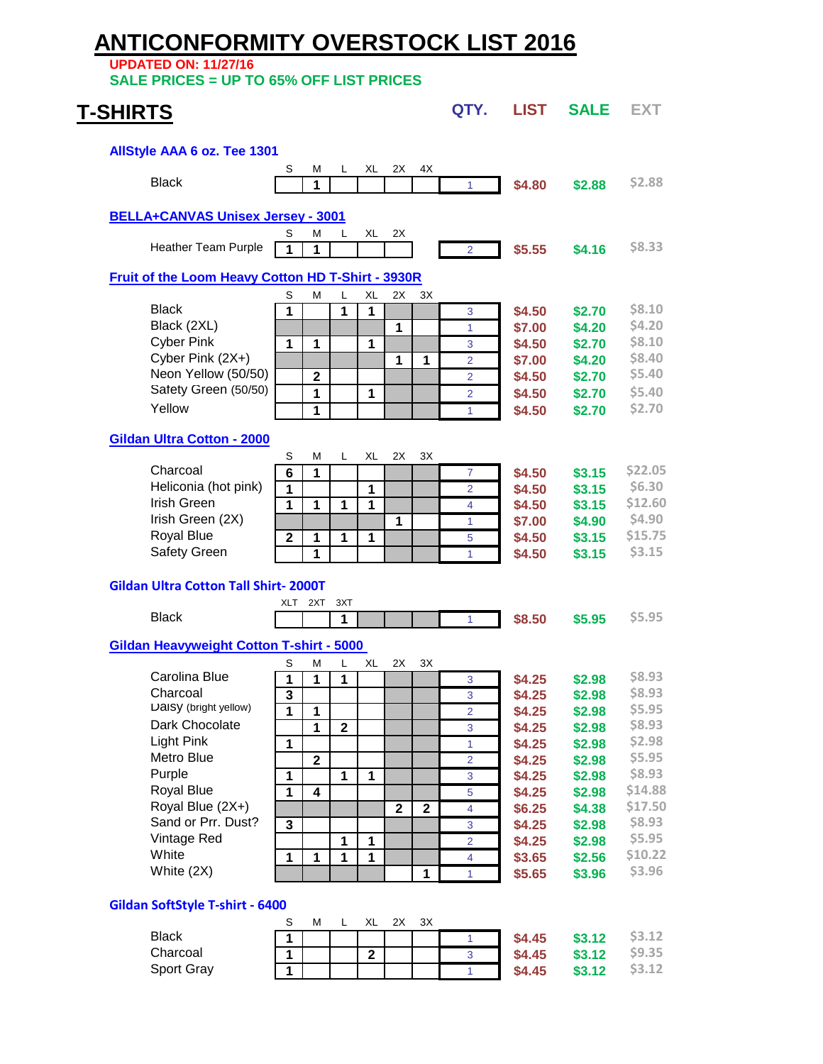# **ANTICONFORMITY OVERSTOCK LIST 2016**

**UPDATED ON: 11/27/16**

**SALE PRICES = UP TO 65% OFF LIST PRICES**

## **T-SHIRTS QTY.** LIST **SALE EXT AllStyle AAA 6 oz. Tee 1301** S M L XL 2X 4X Black **1** <sup>1</sup> **\$4.80 \$2.88 \$2.88 [BELLA+CANVAS Unisex Jersey - 3001](http://www.bellacanvas.com/product/3001/3001-cv-ss-tee.html)** M L XL 2X Heather Team Purple **1 1** <sup>2</sup> **\$5.55 \$4.16 \$8.33 [Fruit of the Loom Heavy Cotton HD T-Shirt - 3930R](http://www.wearables4you.com/index.cfm?genid=wearables4you&fuseaction=product.display&product_ID=102&ParentCat=39)** S M L XL 2X 3X Black **1 1 1** <sup>3</sup> **\$4.50 \$2.70 \$8.10 Example 1** 1 **1 \$7.00 \$4.20 \$4.20**<br> **Cyber Pink** 1 1 1 1 1 3 **\$4.50 \$2.70 \$8.10** Cyber Pink **1 1 1** <sup>3</sup> **\$4.50 \$2.70 \$8.10** Cyber Pink (2X+) **1 1** <sup>2</sup> **\$7.00 \$4.20 \$8.40** Neon Yellow (50/50) **2** <sup>2</sup> **\$4.50 \$2.70 \$5.40** Safety Green (50/50) **1 1** <sup>2</sup> **\$4.50 \$2.70 \$5.40** Yellow **1** <sup>1</sup> **\$4.50 \$2.70 \$2.70 [Gildan Ultra Cotton - 2000](http://www.wearables4you.com/index.cfm?genid=wearables4you&fuseaction=product.display&product_ID=89)** S M L XL 2X 3X Charcoal **6 1** <sup>7</sup> **\$4.50 \$3.15 \$22.05** Heliconia (hot pink) **1 1** <sup>2</sup> **\$4.50 \$3.15 \$6.30** Irish Green **1 1 1 1** <sup>4</sup> **\$4.50 \$3.15 \$12.60** Irish Green (2X) **1** <sup>1</sup> **\$7.00 \$4.90 \$4.90** Royal Blue **2 1 1 1** <sup>5</sup> **\$4.50 \$3.15 \$15.75 Safety Green** 1 1 | | | | 1 | **\$4.50 \$3.15 \$3.15 Gildan Ultra Cotton Tall Shirt- 2000T** XLT 2XT 3XT **Black 1** 1 1 1 1 1 1 **\$8.50 \$5.95** \$5.95 **[Gildan Heavyweight Cotton T-shirt - 5000](http://www.wearables4you.com/index.cfm?genid=wearables4you&fuseaction=product.display&product_ID=91)**  S M L XL 2X 3X Carolina Blue **1 1 1** <sup>3</sup> **\$4.25 \$2.98 \$8.93** Charcoal **3** <sup>3</sup> **\$4.25 \$2.98 \$8.93** Daisy (bright yellow) **1 1** <sup>2</sup> **\$4.25 \$2.98 \$5.95 Dark Chocolate 1 2 1 2 3 \$4.25 \$2.98 \$1.25 \$2.98 \$1.25 \$2.98** Light Pink **1** <sup>1</sup> **\$4.25 \$2.98 \$2.98** Metro Blue **2** <sup>2</sup> **\$4.25 \$2.98 \$5.95** Purple **1 1 1** <sup>3</sup> **\$4.25 \$2.98 \$8.93** Royal Blue **1 4** <sup>5</sup> **\$4.25 \$2.98 \$14.88 Royal Blue (2X+) 2 2 2 2 2 4 \$6.25 \$4.38** Sand or Prr. Dust? **3** <sup>3</sup> **\$4.25 \$2.98 \$8.93** Vintage Red **1 1** <sup>2</sup> **\$4.25 \$2.98 \$5.95** White **1 1 1 1** <sup>4</sup> **\$3.65 \$2.56 \$10.22 1** 1 1 **\$5.65 \$3.96 \$3.96 Gildan SoftStyle T-shirt - 6400** S M L XL 2X 3X Black **1** <sup>1</sup> **\$4.45 \$3.12 \$3.12** Charcoal **1 2** <sup>3</sup> **\$4.45 \$3.12 \$9.35**

Sport Gray **1** <sup>1</sup> **\$4.45 \$3.12 \$3.12**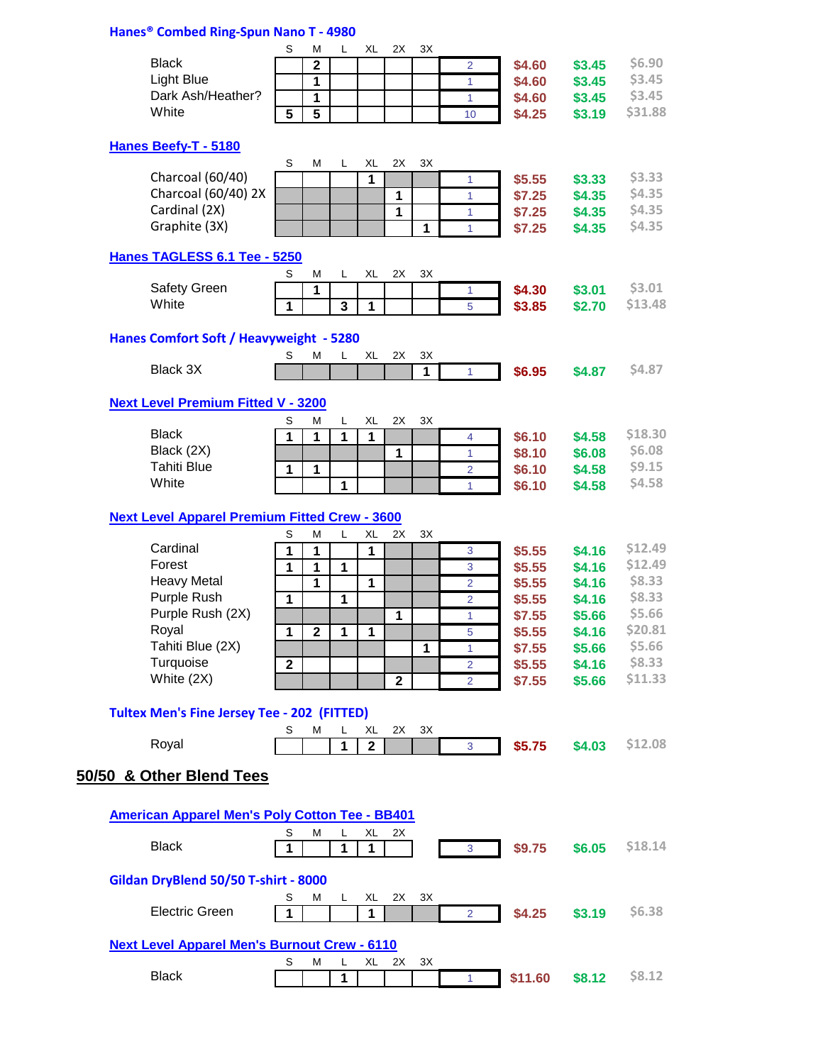# **Hanes® Combed Ring-Spun Nano T - 4980**

|                                                       | S              | M              | L                       | XL          | 2X             | ЗX           |                |         |        |               |
|-------------------------------------------------------|----------------|----------------|-------------------------|-------------|----------------|--------------|----------------|---------|--------|---------------|
| <b>Black</b>                                          |                | $\overline{2}$ |                         |             |                |              | $\overline{2}$ | \$4.60  | \$3.45 | \$6.90        |
| <b>Light Blue</b>                                     |                |                |                         |             |                |              |                |         |        | \$3.45        |
| Dark Ash/Heather?                                     |                | 1              |                         |             |                |              | 1              | \$4.60  | \$3.45 | \$3.45        |
|                                                       |                | 1              |                         |             |                |              | $\mathbf{1}$   | \$4.60  | \$3.45 |               |
| White                                                 | $\overline{5}$ | $\overline{5}$ |                         |             |                |              | 10             | \$4.25  | \$3.19 | \$31.88       |
|                                                       |                |                |                         |             |                |              |                |         |        |               |
| Hanes Beefy-T - 5180                                  |                |                |                         |             |                |              |                |         |        |               |
| Charcoal (60/40)                                      | S              | M              | L                       | XL<br>1     | 2X             | 3X           |                |         |        | \$3.33        |
| Charcoal (60/40) 2X                                   |                |                |                         |             |                |              | 1              | \$5.55  | \$3.33 | \$4.35        |
|                                                       |                |                |                         |             | 1              |              | 1              | \$7.25  | \$4.35 |               |
| Cardinal (2X)                                         |                |                |                         |             | $\overline{1}$ |              | 1              | \$7.25  | \$4.35 | \$4.35        |
| Graphite (3X)                                         |                |                |                         |             |                | 1            | $\mathbf{1}$   | \$7.25  | \$4.35 | \$4.35        |
| Hanes TAGLESS 6.1 Tee - 5250                          |                |                |                         |             |                |              |                |         |        |               |
|                                                       | S              | M              | L                       | XL          | 2X             | 3X           |                |         |        |               |
| Safety Green                                          |                | 1              |                         |             |                |              | 1              | \$4.30  | \$3.01 | \$3.01        |
| White                                                 | 1              |                | $\overline{\mathbf{3}}$ | 1           |                |              | 5              | \$3.85  | \$2.70 | \$13.48       |
|                                                       |                |                |                         |             |                |              |                |         |        |               |
| Hanes Comfort Soft / Heavyweight - 5280               |                |                |                         |             |                |              |                |         |        |               |
|                                                       | S              | М              | L                       | XL          | 2X             | 3X           |                |         |        |               |
| Black 3X                                              |                |                |                         |             |                | 1            | 1              | \$6.95  | \$4.87 | <b>S4.87</b>  |
|                                                       |                |                |                         |             |                |              |                |         |        |               |
| <b>Next Level Premium Fitted V - 3200</b>             |                |                |                         |             |                |              |                |         |        |               |
| <b>Black</b>                                          | S              | М              | L                       | XL          | 2X             | 3X           |                |         |        | \$18.30       |
|                                                       | 1              | $\mathbf 1$    | 1                       | 1           |                |              | $\overline{4}$ | \$6.10  | \$4.58 |               |
| Black (2X)                                            |                |                |                         |             | 1              |              | 1              | \$8.10  | \$6.08 | \$6.08        |
| <b>Tahiti Blue</b>                                    | $\mathbf{1}$   | $\mathbf{1}$   |                         |             |                |              | $\overline{2}$ | \$6.10  | \$4.58 | \$9.15        |
| White                                                 |                |                | 1                       |             |                |              | 1              | \$6.10  | \$4.58 | \$4.58        |
|                                                       |                |                |                         |             |                |              |                |         |        |               |
| <b>Next Level Apparel Premium Fitted Crew - 3600</b>  |                |                |                         |             |                |              |                |         |        |               |
| Cardinal                                              | S              | М              | L                       | XL          | 2X             | 3X           |                |         |        | \$12.49       |
|                                                       | 1              | 1              |                         | 1           |                |              | 3              | \$5.55  | \$4.16 |               |
| Forest                                                | 1              | $\mathbf{1}$   | $\mathbf{1}$            |             |                |              | 3              | \$5.55  | \$4.16 | \$12.49       |
| <b>Heavy Metal</b>                                    |                | 1              |                         | 1           |                |              | 2              | \$5.55  | \$4.16 | \$8.33        |
| Purple Rush                                           | $\mathbf{1}$   |                | 1                       |             |                |              | 2              | \$5.55  | \$4.16 | \$8.33        |
| Purple Rush (2X)                                      |                |                |                         |             | $\mathbf{1}$   |              | $\mathbf{1}$   | \$7.55  | \$5.66 | \$5.66        |
| Royal                                                 | $\mathbf{1}$   | $\overline{2}$ | 1                       | 1           |                |              | 5              | \$5.55  | \$4.16 | \$20.81       |
| Tahiti Blue (2X)                                      |                |                |                         |             |                | $\mathbf{1}$ | 1              | \$7.55  | \$5.66 | \$5.66        |
| Turquoise                                             | $\mathbf{2}$   |                |                         |             |                |              | 2              | \$5.55  | \$4.16 | \$8.33        |
| White (2X)                                            |                |                |                         |             | $\mathbf{2}$   |              | 2              | \$7.55  | \$5.66 | \$11.33       |
|                                                       |                |                |                         |             |                |              |                |         |        |               |
| <b>Tultex Men's Fine Jersey Tee - 202 (FITTED)</b>    |                |                |                         |             |                |              |                |         |        |               |
|                                                       | S              | М              | L                       | XL          | 2X             | ЗΧ           |                |         |        |               |
| Royal                                                 |                |                | 1                       | $\mathbf 2$ |                |              | 3              | \$5.75  | \$4.03 | \$12.08       |
|                                                       |                |                |                         |             |                |              |                |         |        |               |
| 50/50 & Other Blend Tees                              |                |                |                         |             |                |              |                |         |        |               |
|                                                       |                |                |                         |             |                |              |                |         |        |               |
| <b>American Apparel Men's Poly Cotton Tee - BB401</b> |                |                |                         |             |                |              |                |         |        |               |
| <b>Black</b>                                          | S<br>1         | M              | L<br>1                  | XL<br>1     | 2X             |              | 3              | \$9.75  | \$6.05 | \$18.14       |
|                                                       |                |                |                         |             |                |              |                |         |        |               |
| Gildan DryBlend 50/50 T-shirt - 8000                  |                |                |                         |             |                |              |                |         |        |               |
|                                                       | S              | М              | L                       | XL          | 2X             | ЗΧ           |                |         |        |               |
| <b>Electric Green</b>                                 | 1              |                |                         | 1           |                |              | $\overline{2}$ | \$4.25  | \$3.19 | \$6.38\$      |
|                                                       |                |                |                         |             |                |              |                |         |        |               |
| <b>Next Level Apparel Men's Burnout Crew - 6110</b>   |                |                |                         |             |                |              |                |         |        |               |
|                                                       | S              | М              | L                       | XL          | 2X             | ЗΧ           |                |         |        |               |
| <b>Black</b>                                          |                |                | 1                       |             |                |              | 1              | \$11.60 | \$8.12 | <b>\$8.12</b> |
|                                                       |                |                |                         |             |                |              |                |         |        |               |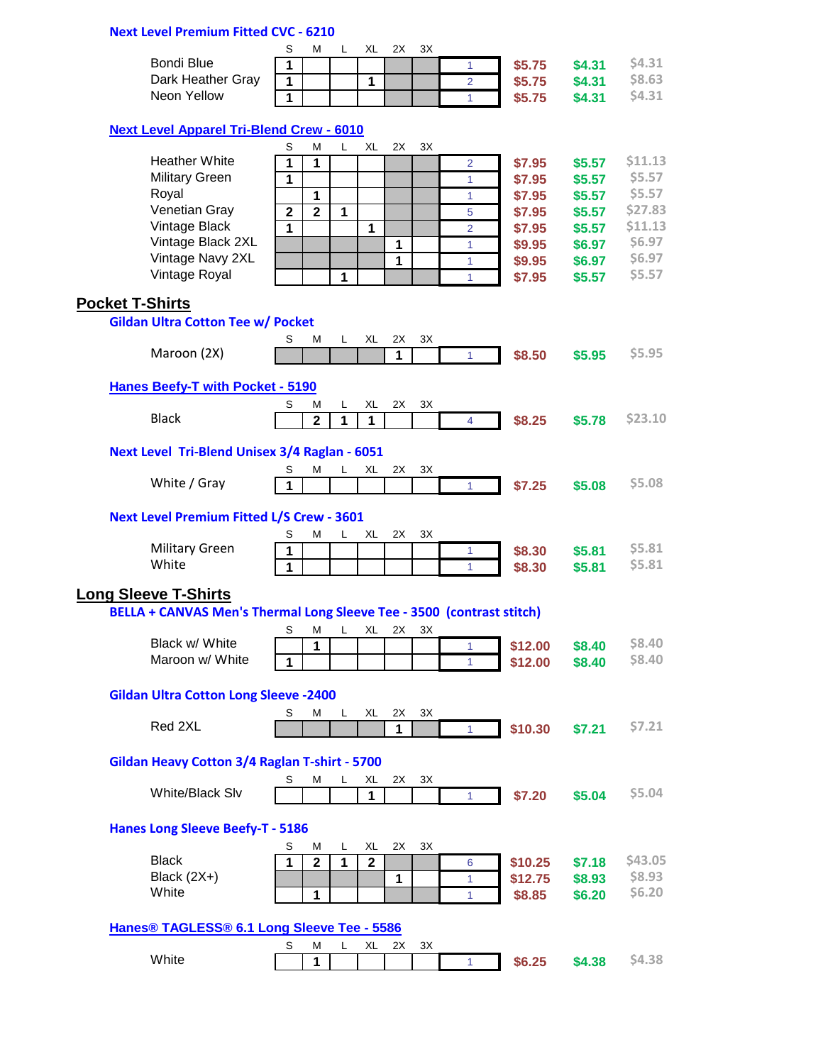## **Next Level Premium Fitted CVC - 6210**

|                   | M |  | ЗΧ |        |        |                   |
|-------------------|---|--|----|--------|--------|-------------------|
| Bondi Blue        |   |  |    | \$5.75 | \$4.31 | S4.3 <sub>1</sub> |
| Dark Heather Gray |   |  |    | \$5.75 | \$4.31 | S8.63             |
| Neon Yellow       |   |  |    | \$5.75 | \$4.31 | S4.3 <sub>1</sub> |

### **[Next Level Apparel Tri-Blend Crew - 6010](http://www.nextlevelapparel.com/Prod-24-1-32-2/mens-tri-blend-crew.htm)**

| <b>HOAT LOTOR</b> / <b>IPPULOI</b> 1111 BIOHU                         |                |                  |              |                    |              |    |                |         |        |         |
|-----------------------------------------------------------------------|----------------|------------------|--------------|--------------------|--------------|----|----------------|---------|--------|---------|
|                                                                       | S              | М                | L            | XL                 | 2X           | 3X |                |         |        |         |
| <b>Heather White</b>                                                  | 1              | 1                |              |                    |              |    | 2              | \$7.95  | \$5.57 | \$11.13 |
| <b>Military Green</b>                                                 | $\mathbf{1}$   |                  |              |                    |              |    | 1              | \$7.95  | \$5.57 | \$5.57  |
| Royal                                                                 |                | $\mathbf{1}$     |              |                    |              |    | 1              | \$7.95  | \$5.57 | \$5.57  |
| Venetian Gray                                                         | $\overline{2}$ | $\overline{2}$   | $\mathbf{1}$ |                    |              |    | 5              | \$7.95  | \$5.57 | \$27.83 |
| Vintage Black                                                         | 1              |                  |              | 1                  |              |    | $\overline{2}$ | \$7.95  | \$5.57 | \$11.13 |
| Vintage Black 2XL                                                     |                |                  |              |                    | 1            |    | 1              | \$9.95  | \$6.97 | \$6.97  |
| Vintage Navy 2XL                                                      |                |                  |              |                    | $\mathbf{1}$ |    | 1              | \$9.95  | \$6.97 | \$6.97  |
| Vintage Royal                                                         |                |                  | 1            |                    |              |    | 1              | \$7.95  | \$5.57 | \$5.57  |
|                                                                       |                |                  |              |                    |              |    |                |         |        |         |
| <b>Pocket T-Shirts</b>                                                |                |                  |              |                    |              |    |                |         |        |         |
| <b>Gildan Ultra Cotton Tee w/ Pocket</b>                              |                |                  |              |                    |              |    |                |         |        |         |
|                                                                       | S              | M                | L.           | XL                 | 2X           | 3X |                |         |        |         |
| Maroon (2X)                                                           |                |                  |              |                    | 1            |    | 1              | \$8.50  | \$5.95 | \$5.95  |
|                                                                       |                |                  |              |                    |              |    |                |         |        |         |
| <b>Hanes Beefy-T with Pocket - 5190</b>                               |                |                  |              |                    |              |    |                |         |        |         |
|                                                                       | S              | M                | L            | XL                 | 2X           | ЗX |                |         |        |         |
| <b>Black</b>                                                          |                | $\overline{2}$   | $\mathbf{1}$ | $\mathbf{1}$       |              |    | $\overline{4}$ | \$8.25  | \$5.78 | \$23.10 |
|                                                                       |                |                  |              |                    |              |    |                |         |        |         |
| Next Level Tri-Blend Unisex 3/4 Raglan - 6051                         |                |                  |              |                    |              |    |                |         |        |         |
|                                                                       | S              | Μ                | L            | XL                 | 2X           | 3X |                |         |        |         |
| White / Gray                                                          | 1              |                  |              |                    |              |    | $\mathbf{1}$   | \$7.25  | \$5.08 | \$5.08  |
|                                                                       |                |                  |              |                    |              |    |                |         |        |         |
| <b>Next Level Premium Fitted L/S Crew - 3601</b>                      |                |                  |              |                    |              |    |                |         |        |         |
|                                                                       | S              | М                | L            | XL                 | 2X           | 3X |                |         |        |         |
| <b>Military Green</b>                                                 | 1              |                  |              |                    |              |    | 1              | \$8.30  | \$5.81 | \$5.81  |
| White                                                                 | 1              |                  |              |                    |              |    | 1              | \$8.30  | \$5.81 | \$5.81  |
|                                                                       |                |                  |              |                    |              |    |                |         |        |         |
| <b>Long Sleeve T-Shirts</b>                                           |                |                  |              |                    |              |    |                |         |        |         |
| BELLA + CANVAS Men's Thermal Long Sleeve Tee - 3500 (contrast stitch) |                |                  |              |                    |              |    |                |         |        |         |
|                                                                       | S              | M                | L.           | XL                 | 2X           | 3X |                |         |        |         |
| Black w/ White                                                        |                | $\mathbf{1}$     |              |                    |              |    | 1              | \$12.00 | \$8.40 | \$8.40  |
| Maroon w/ White                                                       | 1              |                  |              |                    |              |    | $\mathbf{1}$   | \$12.00 | \$8.40 | \$8.40  |
|                                                                       |                |                  |              |                    |              |    |                |         |        |         |
| <b>Gildan Ultra Cotton Long Sleeve -2400</b>                          |                |                  |              |                    |              |    |                |         |        |         |
|                                                                       | S              | М                | L            | XL                 | 2X           | 3X |                |         |        |         |
| Red 2XL                                                               |                |                  |              |                    | $\mathbf{1}$ |    | 1              | \$10.30 | \$7.21 | \$7.21  |
|                                                                       |                |                  |              |                    |              |    |                |         |        |         |
| Gildan Heavy Cotton 3/4 Raglan T-shirt - 5700                         |                |                  |              |                    |              |    |                |         |        |         |
|                                                                       | S              | М                | L            | XL                 | 2X           | ЗΧ |                |         |        |         |
| White/Black Slv                                                       |                |                  |              | 1                  |              |    | $\mathbf{1}$   | \$7.20  | \$5.04 | \$5.04  |
|                                                                       |                |                  |              |                    |              |    |                |         |        |         |
| <b>Hanes Long Sleeve Beefy-T - 5186</b>                               |                |                  |              |                    |              |    |                |         |        |         |
|                                                                       |                |                  |              |                    |              |    |                |         |        |         |
| <b>Black</b>                                                          | S<br>1         | м<br>$\mathbf 2$ | L<br>1       | XL<br>$\mathbf{2}$ | 2X           | 3X |                |         |        | \$43.05 |
| Black $(2X+)$                                                         |                |                  |              |                    |              |    | 6              | \$10.25 | \$7.18 | \$8.93  |
| White                                                                 |                |                  |              |                    | 1            |    | 1              | \$12.75 | \$8.93 | \$6.20  |
|                                                                       |                | 1                |              |                    |              |    | 1              | \$8.85  | \$6.20 |         |
|                                                                       |                |                  |              |                    |              |    |                |         |        |         |
| Hanes <sup>®</sup> TAGLESS <sup>®</sup> 6.1 Long Sleeve Tee - 5586    |                |                  |              |                    |              |    |                |         |        |         |
|                                                                       | S              | Μ                | L            | XL                 | 2X           | ЗΧ |                |         |        |         |
| White                                                                 |                | 1                |              |                    |              |    | 1.             | \$6.25  | \$4.38 | \$4.38  |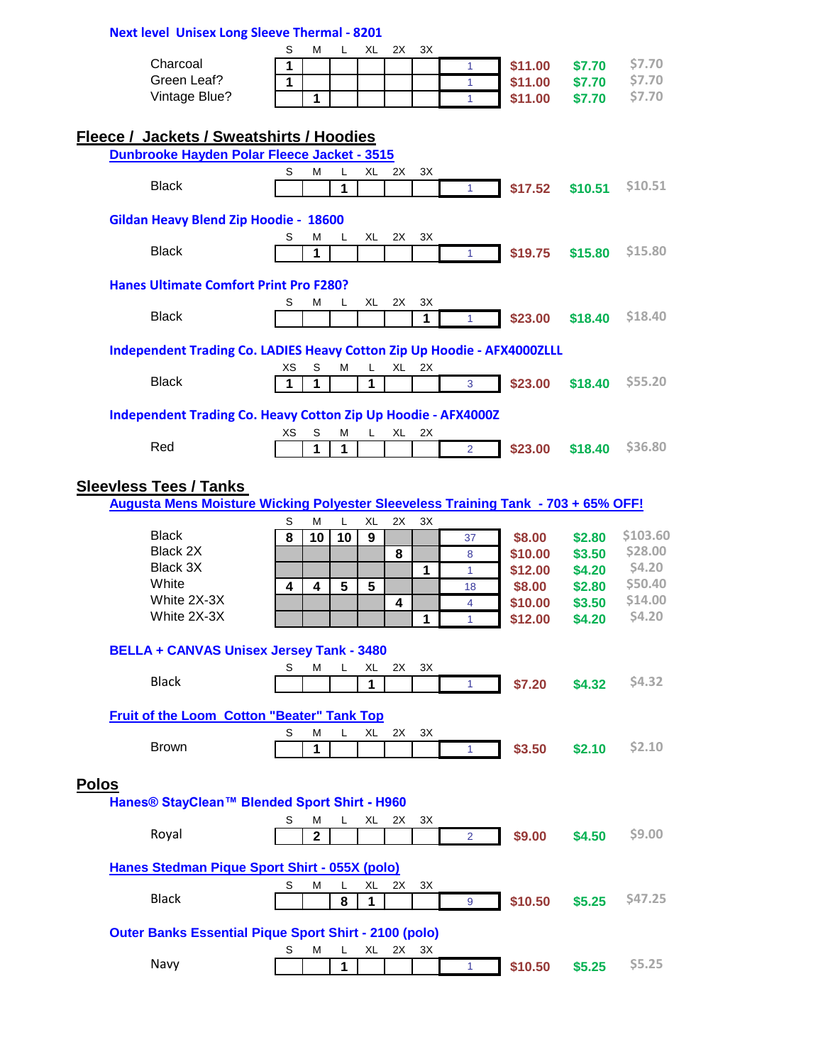|              | <b>Next level Unisex Long Sleeve Thermal - 8201</b>                               |    |              |        |    |    |               |                |         |         |               |
|--------------|-----------------------------------------------------------------------------------|----|--------------|--------|----|----|---------------|----------------|---------|---------|---------------|
|              |                                                                                   | S  | М            | L      | XL | 2X | 3X            |                |         |         |               |
|              | Charcoal                                                                          | 1  |              |        |    |    |               | 1              | \$11.00 | \$7.70  | \$7.70        |
|              | Green Leaf?                                                                       | 1  |              |        |    |    |               | 1              | \$11.00 | \$7.70  | \$7.70        |
|              | Vintage Blue?                                                                     |    | 1            |        |    |    |               | 1              | \$11.00 | \$7.70  | \$7.70        |
|              |                                                                                   |    |              |        |    |    |               |                |         |         |               |
|              | <b>Fleece / Jackets / Sweatshirts / Hoodies</b>                                   |    |              |        |    |    |               |                |         |         |               |
|              | Dunbrooke Hayden Polar Fleece Jacket - 3515                                       |    |              |        |    |    |               |                |         |         |               |
|              |                                                                                   | S  | Μ            | L      | XL | 2X | 3X            |                |         |         |               |
|              | <b>Black</b>                                                                      |    |              | 1      |    |    |               | $\mathbf{1}$   | \$17.52 | \$10.51 | \$10.51       |
|              |                                                                                   |    |              |        |    |    |               |                |         |         |               |
|              | Gildan Heavy Blend Zip Hoodie - 18600                                             |    |              |        |    |    |               |                |         |         |               |
|              |                                                                                   | S  | Μ            | L      | XL | 2X | 3X            |                |         |         |               |
|              | <b>Black</b>                                                                      |    | 1            |        |    |    |               | $\mathbf{1}$   | \$19.75 | \$15.80 | \$15.80       |
|              |                                                                                   |    |              |        |    |    |               |                |         |         |               |
|              | <b>Hanes Ultimate Comfort Print Pro F280?</b>                                     |    |              |        |    |    |               |                |         |         |               |
|              |                                                                                   | S  | М            | L      | XL | 2X | 3X            |                |         |         |               |
|              | <b>Black</b>                                                                      |    |              |        |    |    | 1             | 1              | \$23.00 | \$18.40 | \$18.40       |
|              |                                                                                   |    |              |        |    |    |               |                |         |         |               |
|              | Independent Trading Co. LADIES Heavy Cotton Zip Up Hoodie - AFX4000ZLLL           |    |              |        |    |    |               |                |         |         |               |
|              |                                                                                   | ХS | S            | M      | L  | XL | 2X            |                |         |         |               |
|              | <b>Black</b>                                                                      | 1  | 1            |        | 1  |    |               | 3              | \$23.00 | \$18.40 | \$55.20       |
|              |                                                                                   |    |              |        |    |    |               |                |         |         |               |
|              | <b>Independent Trading Co. Heavy Cotton Zip Up Hoodie - AFX4000Z</b>              |    |              |        |    |    |               |                |         |         |               |
|              |                                                                                   | хs | S            | M      | L  | XL | 2X            |                |         |         |               |
|              | Red                                                                               |    | 1            | 1      |    |    |               | $\overline{2}$ | \$23.00 | \$18.40 | \$36.80       |
|              |                                                                                   |    |              |        |    |    |               |                |         |         |               |
|              | <b>Sleevless Tees / Tanks</b>                                                     |    |              |        |    |    |               |                |         |         |               |
|              | Augusta Mens Moisture Wicking Polyester Sleeveless Training Tank - 703 + 65% OFF! |    |              |        |    |    |               |                |         |         |               |
|              |                                                                                   | S  | м            | L      | XL | 2X | $3\mathrm{X}$ |                |         |         |               |
|              | <b>Black</b>                                                                      | 8  | 10           | 10     | 9  |    |               | 37             | \$8.00  | \$2.80  | \$103.60      |
|              | Black 2X                                                                          |    |              |        |    | 8  |               | 8              | \$10.00 | \$3.50  | \$28.00       |
|              | Black 3X                                                                          |    |              |        |    |    | 1             | $\mathbf{1}$   | \$12.00 | \$4.20  | \$4.20        |
|              | White                                                                             | 4  | 4            | 5      | 5  |    |               | 18             | \$8.00  | \$2.80  | \$50.40       |
|              | White 2X-3X                                                                       |    |              |        |    | 4  |               | 4              | \$10.00 | \$3.50  | \$14.00       |
|              | White 2X-3X                                                                       |    |              |        |    |    | 1             | $\mathbf{1}$   | \$12.00 | \$4.20  | \$4.20        |
|              |                                                                                   |    |              |        |    |    |               |                |         |         |               |
|              | <b>BELLA + CANVAS Unisex Jersey Tank - 3480</b>                                   |    |              |        |    |    |               |                |         |         |               |
|              |                                                                                   | S  | м            | L      | XL | 2X | 3X            |                |         |         |               |
|              | <b>Black</b>                                                                      |    |              |        | 1  |    |               | $\mathbf{1}$   | \$7.20  | \$4.32  | <b>\$4.32</b> |
|              |                                                                                   |    |              |        |    |    |               |                |         |         |               |
|              | <b>Fruit of the Loom Cotton "Beater" Tank Top</b>                                 |    |              |        |    |    |               |                |         |         |               |
|              | <b>Brown</b>                                                                      | S  | М            | L      | XL | 2X | 3X            |                |         |         | \$2.10        |
|              |                                                                                   |    | 1            |        |    |    |               | $\mathbf{1}$   | \$3.50  | \$2.10  |               |
|              |                                                                                   |    |              |        |    |    |               |                |         |         |               |
| <b>Polos</b> |                                                                                   |    |              |        |    |    |               |                |         |         |               |
|              | Hanes® StayClean™ Blended Sport Shirt - H960                                      |    |              |        |    |    |               |                |         |         |               |
|              |                                                                                   | S  | М            | L      | XL | 2X | 3X            |                |         |         |               |
|              | Royal                                                                             |    | $\mathbf{2}$ |        |    |    |               | $\overline{2}$ | \$9.00  | \$4.50  | <b>S9.00</b>  |
|              |                                                                                   |    |              |        |    |    |               |                |         |         |               |
|              | Hanes Stedman Pique Sport Shirt - 055X (polo)                                     |    |              |        |    |    |               |                |         |         |               |
|              | <b>Black</b>                                                                      | S  | М            | L      | XL | 2X | ЗX            |                |         |         | \$47.25       |
|              |                                                                                   |    |              | 8      | 1  |    |               | 9              | \$10.50 | \$5.25  |               |
|              |                                                                                   |    |              |        |    |    |               |                |         |         |               |
|              |                                                                                   |    |              |        |    |    |               |                |         |         |               |
|              | <b>Outer Banks Essential Pique Sport Shirt - 2100 (polo)</b>                      |    |              |        |    |    |               |                |         |         |               |
|              | Navy                                                                              | S  | М            | L<br>1 | XL | 2X | ЗX            | $\mathbf{1}$   | \$10.50 | \$5.25  | \$5.25        |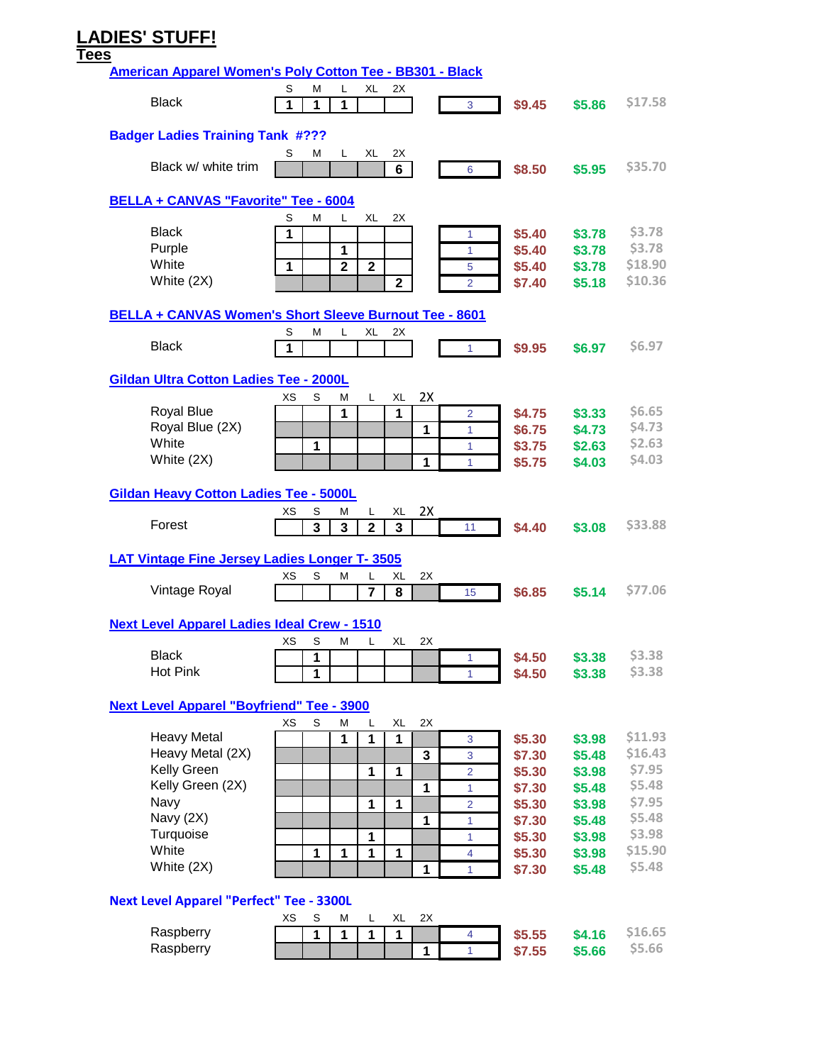# **LADIES' STUFF!**

#### **Tees**

| <b>American Apparel Women's Poly Cotton Tee - BB301 - Black</b> |    |        |                |              |                |              |                |                  |                  |               |
|-----------------------------------------------------------------|----|--------|----------------|--------------|----------------|--------------|----------------|------------------|------------------|---------------|
| <b>Black</b>                                                    | S  | M      | L              | XL           | 2X             |              |                |                  |                  | \$17.58       |
|                                                                 | 1  | 1      | 1              |              |                |              | 3              | \$9.45           | \$5.86           |               |
| <b>Badger Ladies Training Tank #???</b>                         |    |        |                |              |                |              |                |                  |                  |               |
|                                                                 | S  | М      | L              | XL           | 2X             |              |                |                  |                  |               |
| Black w/ white trim                                             |    |        |                |              | 6              |              | 6              | \$8.50           | \$5.95           | \$35.70       |
| <b>BELLA + CANVAS "Favorite" Tee - 6004</b>                     |    |        |                |              |                |              |                |                  |                  |               |
| <b>Black</b>                                                    | S  | M      | L              | <b>XL</b>    | 2X             |              |                |                  |                  | <b>\$3.78</b> |
| Purple                                                          | 1  |        | 1              |              |                |              | 1<br>1         | \$5.40<br>\$5.40 | \$3.78<br>\$3.78 | \$3.78        |
| White                                                           | 1  |        | $\overline{2}$ | $\mathbf{2}$ |                |              | 5              | \$5.40           | \$3.78           | \$18.90       |
| White (2X)                                                      |    |        |                |              | $\overline{2}$ |              | $\overline{2}$ | \$7.40           | \$5.18           | \$10.36       |
| BELLA + CANVAS Women's Short Sleeve Burnout Tee - 8601          |    |        |                |              |                |              |                |                  |                  |               |
|                                                                 | S  | M      | L              | XL           | 2X             |              |                |                  |                  |               |
| <b>Black</b>                                                    | 1  |        |                |              |                |              | 1              | \$9.95           | \$6.97           | \$6.97        |
| Gildan Ultra Cotton Ladies Tee - 2000L                          |    |        |                |              |                |              |                |                  |                  |               |
|                                                                 | хs | S      | Μ              | L.           | XL             | 2X           |                |                  |                  |               |
| Royal Blue                                                      |    |        | 1              |              | 1              |              | $\overline{2}$ | \$4.75           | \$3.33           | \$6.65        |
| Royal Blue (2X)                                                 |    |        |                |              |                | 1            | 1              | \$6.75           | \$4.73           | <b>\$4.73</b> |
| White                                                           |    | 1      |                |              |                |              | 1              | \$3.75           | \$2.63           | \$2.63        |
| White (2X)                                                      |    |        |                |              |                | 1            | 1              | \$5.75           | \$4.03           | \$4.03        |
| <b>Gildan Heavy Cotton Ladies Tee - 5000L</b>                   |    |        |                |              |                |              |                |                  |                  |               |
| Forest                                                          | XS | S      | Μ              | L            | XL             | 2X           |                |                  |                  | \$33.88       |
|                                                                 |    | 3      | 3              | $\mathbf 2$  | 3              |              | 11             | \$4.40           | \$3.08           |               |
| <b>LAT Vintage Fine Jersey Ladies Longer T-3505</b>             |    |        |                |              |                |              |                |                  |                  |               |
|                                                                 | ХS | S      | Μ              | L            | XL             | 2X           |                |                  |                  |               |
| Vintage Royal                                                   |    |        |                | 7            | 8              |              | 15             | \$6.85           | \$5.14           | \$77.06       |
| <b>Next Level Apparel Ladies Ideal Crew - 1510</b>              |    |        |                |              |                |              |                |                  |                  |               |
| <b>Black</b>                                                    | XS | S      | М              | L            | XL             | 2X           |                |                  |                  | \$3.38        |
| Hot Pink                                                        |    | 1<br>1 |                |              |                |              | 1<br>1         | \$4.50<br>\$4.50 | \$3.38<br>\$3.38 | <b>\$3.38</b> |
|                                                                 |    |        |                |              |                |              |                |                  |                  |               |
| <b>Next Level Apparel "Boyfriend" Tee - 3900</b>                | XS | S      |                |              |                | 2X           |                |                  |                  |               |
| <b>Heavy Metal</b>                                              |    |        | М<br>1         | L<br>1       | XL<br>1        |              | $\mathbf{3}$   | \$5.30           | \$3.98           | \$11.93       |
| Heavy Metal (2X)                                                |    |        |                |              |                | $\mathbf{3}$ | $\mathbf{3}$   | \$7.30           | \$5.48           | \$16.43       |
| Kelly Green                                                     |    |        |                | 1            | 1              |              | $\overline{2}$ | \$5.30           | \$3.98           | \$7.95        |
| Kelly Green (2X)                                                |    |        |                |              |                | 1            | $\mathbf{1}$   | \$7.30           | \$5.48           | \$5.48        |
| Navy                                                            |    |        |                | 1            | 1              |              | $\overline{2}$ | \$5.30           | \$3.98           | \$7.95        |
| Navy (2X)                                                       |    |        |                |              |                | $\mathbf{1}$ | 1              | \$7.30           | \$5.48           | \$5.48        |
| Turquoise                                                       |    |        |                | 1            |                |              | 1              | \$5.30           | \$3.98           | \$3.98        |
| White                                                           |    | 1      | 1              | 1            | 1              |              | 4              | \$5.30           | \$3.98           | \$15.90       |
| White (2X)                                                      |    |        |                |              |                | 1            | 1              | \$7.30           | \$5.48           | \$5.48        |
| <b>Next Level Apparel "Perfect" Tee - 3300L</b>                 |    |        |                |              |                |              |                |                  |                  |               |
|                                                                 | ХS | S      | Μ              | L            | XL             | 2X           |                |                  |                  |               |
| Raspberry                                                       |    | 1      | 1              | 1            | 1              |              | 4              | \$5.55           | \$4.16           | \$16.65       |
| Raspberry                                                       |    |        |                |              |                | 1            | $\mathbf{1}$   | \$7.55           | \$5.66           | \$5.66        |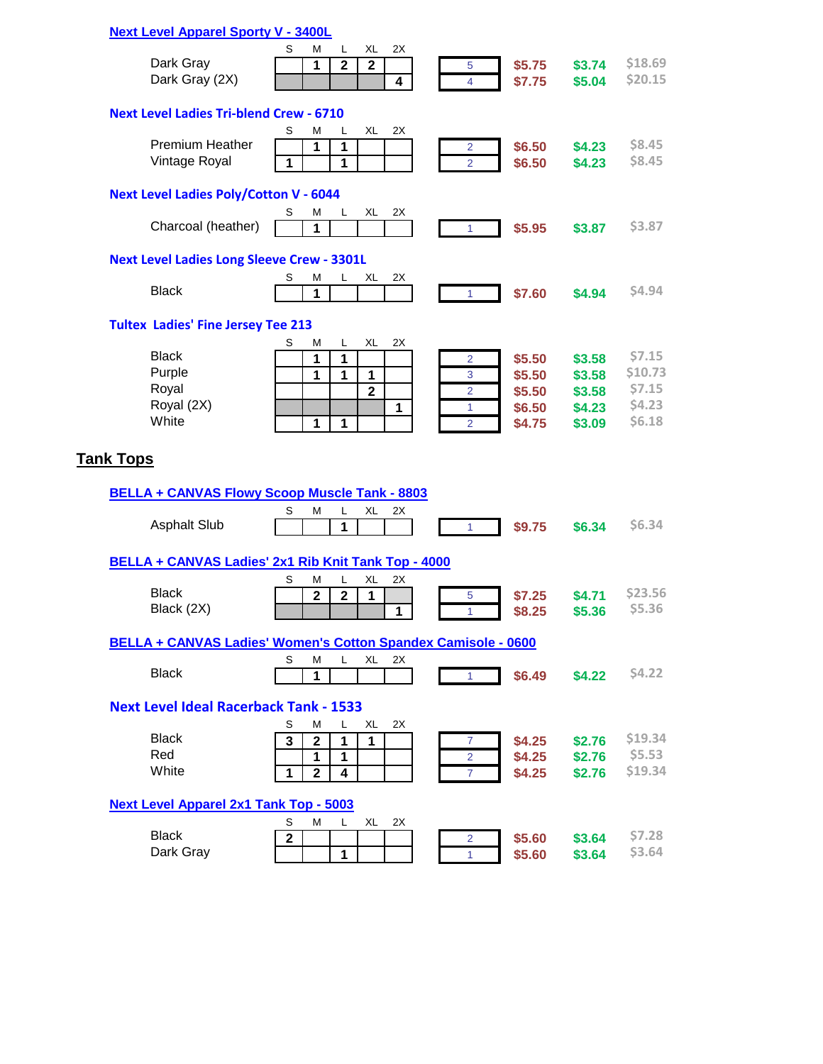| S<br>м<br>XL<br>2X<br>L<br>Dark Gray<br>1<br>$\overline{\mathbf{2}}$<br>$\mathbf{2}$<br>\$5.75<br>\$3.74<br>5<br>Dark Gray (2X)<br>4<br>\$7.75<br>$\overline{4}$<br>\$5.04<br><b>Next Level Ladies Tri-blend Crew - 6710</b><br>XL<br>2X<br>S<br>M<br>L<br><b>Premium Heather</b><br>1<br>1<br>\$6.50<br>\$4.23<br>2<br>Vintage Royal<br>1<br>\$6.50<br>1<br>\$4.23<br>$\overline{2}$<br><b>Next Level Ladies Poly/Cotton V - 6044</b><br>М<br>XL<br>2X<br>S<br>L.<br>Charcoal (heather)<br>\$5.95<br>1<br>\$3.87<br>1<br><b>Next Level Ladies Long Sleeve Crew - 3301L</b><br>2X<br>S<br>XL<br>М<br>L<br><b>Black</b><br>\$7.60<br>1<br>\$4.94<br>$\mathbf{1}$<br><b>Tultex Ladies' Fine Jersey Tee 213</b><br>XL<br>2X<br>М<br>L.<br>S<br><b>Black</b><br>1<br>1<br>\$5.50<br>\$3.58<br>2<br>Purple<br>1<br>1<br>1<br>\$5.50<br>\$3.58<br>$\mathbf{3}$<br>Royal<br>$\mathbf{2}$<br>$\overline{2}$<br>\$5.50<br>\$3.58<br>Royal (2X)<br>$\mathbf{1}$<br>\$6.50<br>\$4.23<br>1<br>White<br>1<br>1<br>$\overline{2}$<br>\$4.75<br>\$3.09<br><b>Tank Tops</b><br><b>BELLA + CANVAS Flowy Scoop Muscle Tank - 8803</b><br>S<br>XL<br>м<br>L<br>2X<br><b>Asphalt Slub</b><br>\$9.75<br>\$6.34<br>1<br>$\mathbf{1}$<br>BELLA + CANVAS Ladies' 2x1 Rib Knit Tank Top - 4000<br>XL<br>2X<br>S<br>М<br>L<br><b>Black</b><br>$\overline{\mathbf{2}}$<br>$\overline{2}$<br>1<br>\$7.25<br>\$4.71<br>5<br>Black (2X)<br>1<br>\$8.25<br>\$5.36<br>1<br>BELLA + CANVAS Ladies' Women's Cotton Spandex Camisole - 0600<br>S<br>М<br>XL<br>L.<br>2X<br><b>Black</b><br>$\mathbf{1}$<br>\$6.49<br>\$4.22<br>$\mathbf{1}$<br><b>Next Level Ideal Racerback Tank - 1533</b><br>S<br>М<br>L<br>XL<br>2X<br><b>Black</b><br>$\overline{2}$<br>1<br>$\mathbf{1}$<br>3<br>\$4.25<br>\$2.76<br>7<br>Red<br>1<br>\$4.25<br>1<br>\$2.76<br>$\overline{2}$<br>White<br>\$4.25<br>1<br>$\mathbf 2$<br>4<br>$\overline{7}$<br>\$2.76<br><b>Next Level Apparel 2x1 Tank Top - 5003</b><br>S<br>М<br>XL<br>2X<br>L.<br><b>Black</b><br>\$5.60<br>$\mathbf{2}$<br>\$3.64<br>2 | <b>Next Level Apparel Sporty V - 3400L</b> |   |             |        |          |
|------------------------------------------------------------------------------------------------------------------------------------------------------------------------------------------------------------------------------------------------------------------------------------------------------------------------------------------------------------------------------------------------------------------------------------------------------------------------------------------------------------------------------------------------------------------------------------------------------------------------------------------------------------------------------------------------------------------------------------------------------------------------------------------------------------------------------------------------------------------------------------------------------------------------------------------------------------------------------------------------------------------------------------------------------------------------------------------------------------------------------------------------------------------------------------------------------------------------------------------------------------------------------------------------------------------------------------------------------------------------------------------------------------------------------------------------------------------------------------------------------------------------------------------------------------------------------------------------------------------------------------------------------------------------------------------------------------------------------------------------------------------------------------------------------------------------------------------------------------------------------------------------------------------------------------------------------------------------------------------------------------------------------------------------|--------------------------------------------|---|-------------|--------|----------|
|                                                                                                                                                                                                                                                                                                                                                                                                                                                                                                                                                                                                                                                                                                                                                                                                                                                                                                                                                                                                                                                                                                                                                                                                                                                                                                                                                                                                                                                                                                                                                                                                                                                                                                                                                                                                                                                                                                                                                                                                                                                |                                            |   |             |        |          |
|                                                                                                                                                                                                                                                                                                                                                                                                                                                                                                                                                                                                                                                                                                                                                                                                                                                                                                                                                                                                                                                                                                                                                                                                                                                                                                                                                                                                                                                                                                                                                                                                                                                                                                                                                                                                                                                                                                                                                                                                                                                |                                            |   |             |        | \$18.69  |
|                                                                                                                                                                                                                                                                                                                                                                                                                                                                                                                                                                                                                                                                                                                                                                                                                                                                                                                                                                                                                                                                                                                                                                                                                                                                                                                                                                                                                                                                                                                                                                                                                                                                                                                                                                                                                                                                                                                                                                                                                                                |                                            |   |             |        | \$20.15  |
|                                                                                                                                                                                                                                                                                                                                                                                                                                                                                                                                                                                                                                                                                                                                                                                                                                                                                                                                                                                                                                                                                                                                                                                                                                                                                                                                                                                                                                                                                                                                                                                                                                                                                                                                                                                                                                                                                                                                                                                                                                                |                                            |   |             |        |          |
|                                                                                                                                                                                                                                                                                                                                                                                                                                                                                                                                                                                                                                                                                                                                                                                                                                                                                                                                                                                                                                                                                                                                                                                                                                                                                                                                                                                                                                                                                                                                                                                                                                                                                                                                                                                                                                                                                                                                                                                                                                                |                                            |   |             |        | \$8.45   |
|                                                                                                                                                                                                                                                                                                                                                                                                                                                                                                                                                                                                                                                                                                                                                                                                                                                                                                                                                                                                                                                                                                                                                                                                                                                                                                                                                                                                                                                                                                                                                                                                                                                                                                                                                                                                                                                                                                                                                                                                                                                |                                            |   |             |        | \$8.45   |
|                                                                                                                                                                                                                                                                                                                                                                                                                                                                                                                                                                                                                                                                                                                                                                                                                                                                                                                                                                                                                                                                                                                                                                                                                                                                                                                                                                                                                                                                                                                                                                                                                                                                                                                                                                                                                                                                                                                                                                                                                                                |                                            |   |             |        |          |
|                                                                                                                                                                                                                                                                                                                                                                                                                                                                                                                                                                                                                                                                                                                                                                                                                                                                                                                                                                                                                                                                                                                                                                                                                                                                                                                                                                                                                                                                                                                                                                                                                                                                                                                                                                                                                                                                                                                                                                                                                                                |                                            |   |             |        |          |
|                                                                                                                                                                                                                                                                                                                                                                                                                                                                                                                                                                                                                                                                                                                                                                                                                                                                                                                                                                                                                                                                                                                                                                                                                                                                                                                                                                                                                                                                                                                                                                                                                                                                                                                                                                                                                                                                                                                                                                                                                                                |                                            |   |             |        |          |
|                                                                                                                                                                                                                                                                                                                                                                                                                                                                                                                                                                                                                                                                                                                                                                                                                                                                                                                                                                                                                                                                                                                                                                                                                                                                                                                                                                                                                                                                                                                                                                                                                                                                                                                                                                                                                                                                                                                                                                                                                                                |                                            |   |             |        | \$3.87   |
|                                                                                                                                                                                                                                                                                                                                                                                                                                                                                                                                                                                                                                                                                                                                                                                                                                                                                                                                                                                                                                                                                                                                                                                                                                                                                                                                                                                                                                                                                                                                                                                                                                                                                                                                                                                                                                                                                                                                                                                                                                                |                                            |   |             |        |          |
|                                                                                                                                                                                                                                                                                                                                                                                                                                                                                                                                                                                                                                                                                                                                                                                                                                                                                                                                                                                                                                                                                                                                                                                                                                                                                                                                                                                                                                                                                                                                                                                                                                                                                                                                                                                                                                                                                                                                                                                                                                                |                                            |   |             |        |          |
|                                                                                                                                                                                                                                                                                                                                                                                                                                                                                                                                                                                                                                                                                                                                                                                                                                                                                                                                                                                                                                                                                                                                                                                                                                                                                                                                                                                                                                                                                                                                                                                                                                                                                                                                                                                                                                                                                                                                                                                                                                                |                                            |   |             |        | \$4.94   |
|                                                                                                                                                                                                                                                                                                                                                                                                                                                                                                                                                                                                                                                                                                                                                                                                                                                                                                                                                                                                                                                                                                                                                                                                                                                                                                                                                                                                                                                                                                                                                                                                                                                                                                                                                                                                                                                                                                                                                                                                                                                |                                            |   |             |        |          |
|                                                                                                                                                                                                                                                                                                                                                                                                                                                                                                                                                                                                                                                                                                                                                                                                                                                                                                                                                                                                                                                                                                                                                                                                                                                                                                                                                                                                                                                                                                                                                                                                                                                                                                                                                                                                                                                                                                                                                                                                                                                |                                            |   |             |        | \$7.15   |
|                                                                                                                                                                                                                                                                                                                                                                                                                                                                                                                                                                                                                                                                                                                                                                                                                                                                                                                                                                                                                                                                                                                                                                                                                                                                                                                                                                                                                                                                                                                                                                                                                                                                                                                                                                                                                                                                                                                                                                                                                                                |                                            |   |             |        | \$10.73  |
|                                                                                                                                                                                                                                                                                                                                                                                                                                                                                                                                                                                                                                                                                                                                                                                                                                                                                                                                                                                                                                                                                                                                                                                                                                                                                                                                                                                                                                                                                                                                                                                                                                                                                                                                                                                                                                                                                                                                                                                                                                                |                                            |   |             |        | \$7.15   |
|                                                                                                                                                                                                                                                                                                                                                                                                                                                                                                                                                                                                                                                                                                                                                                                                                                                                                                                                                                                                                                                                                                                                                                                                                                                                                                                                                                                                                                                                                                                                                                                                                                                                                                                                                                                                                                                                                                                                                                                                                                                |                                            |   |             |        | \$4.23   |
|                                                                                                                                                                                                                                                                                                                                                                                                                                                                                                                                                                                                                                                                                                                                                                                                                                                                                                                                                                                                                                                                                                                                                                                                                                                                                                                                                                                                                                                                                                                                                                                                                                                                                                                                                                                                                                                                                                                                                                                                                                                |                                            |   |             |        | \$6.18   |
|                                                                                                                                                                                                                                                                                                                                                                                                                                                                                                                                                                                                                                                                                                                                                                                                                                                                                                                                                                                                                                                                                                                                                                                                                                                                                                                                                                                                                                                                                                                                                                                                                                                                                                                                                                                                                                                                                                                                                                                                                                                |                                            |   |             |        |          |
|                                                                                                                                                                                                                                                                                                                                                                                                                                                                                                                                                                                                                                                                                                                                                                                                                                                                                                                                                                                                                                                                                                                                                                                                                                                                                                                                                                                                                                                                                                                                                                                                                                                                                                                                                                                                                                                                                                                                                                                                                                                |                                            |   |             |        | \$6.34   |
|                                                                                                                                                                                                                                                                                                                                                                                                                                                                                                                                                                                                                                                                                                                                                                                                                                                                                                                                                                                                                                                                                                                                                                                                                                                                                                                                                                                                                                                                                                                                                                                                                                                                                                                                                                                                                                                                                                                                                                                                                                                |                                            |   |             |        |          |
|                                                                                                                                                                                                                                                                                                                                                                                                                                                                                                                                                                                                                                                                                                                                                                                                                                                                                                                                                                                                                                                                                                                                                                                                                                                                                                                                                                                                                                                                                                                                                                                                                                                                                                                                                                                                                                                                                                                                                                                                                                                |                                            |   |             |        |          |
|                                                                                                                                                                                                                                                                                                                                                                                                                                                                                                                                                                                                                                                                                                                                                                                                                                                                                                                                                                                                                                                                                                                                                                                                                                                                                                                                                                                                                                                                                                                                                                                                                                                                                                                                                                                                                                                                                                                                                                                                                                                |                                            |   |             |        | \$23.56  |
|                                                                                                                                                                                                                                                                                                                                                                                                                                                                                                                                                                                                                                                                                                                                                                                                                                                                                                                                                                                                                                                                                                                                                                                                                                                                                                                                                                                                                                                                                                                                                                                                                                                                                                                                                                                                                                                                                                                                                                                                                                                |                                            |   |             |        | \$5.36   |
|                                                                                                                                                                                                                                                                                                                                                                                                                                                                                                                                                                                                                                                                                                                                                                                                                                                                                                                                                                                                                                                                                                                                                                                                                                                                                                                                                                                                                                                                                                                                                                                                                                                                                                                                                                                                                                                                                                                                                                                                                                                |                                            |   |             |        |          |
|                                                                                                                                                                                                                                                                                                                                                                                                                                                                                                                                                                                                                                                                                                                                                                                                                                                                                                                                                                                                                                                                                                                                                                                                                                                                                                                                                                                                                                                                                                                                                                                                                                                                                                                                                                                                                                                                                                                                                                                                                                                |                                            |   |             |        |          |
|                                                                                                                                                                                                                                                                                                                                                                                                                                                                                                                                                                                                                                                                                                                                                                                                                                                                                                                                                                                                                                                                                                                                                                                                                                                                                                                                                                                                                                                                                                                                                                                                                                                                                                                                                                                                                                                                                                                                                                                                                                                |                                            |   |             |        | \$4.22   |
|                                                                                                                                                                                                                                                                                                                                                                                                                                                                                                                                                                                                                                                                                                                                                                                                                                                                                                                                                                                                                                                                                                                                                                                                                                                                                                                                                                                                                                                                                                                                                                                                                                                                                                                                                                                                                                                                                                                                                                                                                                                |                                            |   |             |        |          |
|                                                                                                                                                                                                                                                                                                                                                                                                                                                                                                                                                                                                                                                                                                                                                                                                                                                                                                                                                                                                                                                                                                                                                                                                                                                                                                                                                                                                                                                                                                                                                                                                                                                                                                                                                                                                                                                                                                                                                                                                                                                |                                            |   |             |        |          |
|                                                                                                                                                                                                                                                                                                                                                                                                                                                                                                                                                                                                                                                                                                                                                                                                                                                                                                                                                                                                                                                                                                                                                                                                                                                                                                                                                                                                                                                                                                                                                                                                                                                                                                                                                                                                                                                                                                                                                                                                                                                |                                            |   |             |        | \$19.34  |
|                                                                                                                                                                                                                                                                                                                                                                                                                                                                                                                                                                                                                                                                                                                                                                                                                                                                                                                                                                                                                                                                                                                                                                                                                                                                                                                                                                                                                                                                                                                                                                                                                                                                                                                                                                                                                                                                                                                                                                                                                                                |                                            |   |             |        | \$5.53\$ |
|                                                                                                                                                                                                                                                                                                                                                                                                                                                                                                                                                                                                                                                                                                                                                                                                                                                                                                                                                                                                                                                                                                                                                                                                                                                                                                                                                                                                                                                                                                                                                                                                                                                                                                                                                                                                                                                                                                                                                                                                                                                |                                            |   |             |        | \$19.34  |
|                                                                                                                                                                                                                                                                                                                                                                                                                                                                                                                                                                                                                                                                                                                                                                                                                                                                                                                                                                                                                                                                                                                                                                                                                                                                                                                                                                                                                                                                                                                                                                                                                                                                                                                                                                                                                                                                                                                                                                                                                                                |                                            |   |             |        |          |
|                                                                                                                                                                                                                                                                                                                                                                                                                                                                                                                                                                                                                                                                                                                                                                                                                                                                                                                                                                                                                                                                                                                                                                                                                                                                                                                                                                                                                                                                                                                                                                                                                                                                                                                                                                                                                                                                                                                                                                                                                                                |                                            |   |             |        | \$7.28   |
|                                                                                                                                                                                                                                                                                                                                                                                                                                                                                                                                                                                                                                                                                                                                                                                                                                                                                                                                                                                                                                                                                                                                                                                                                                                                                                                                                                                                                                                                                                                                                                                                                                                                                                                                                                                                                                                                                                                                                                                                                                                | Dark Gray                                  | 1 | \$5.60<br>1 | \$3.64 | \$3.64   |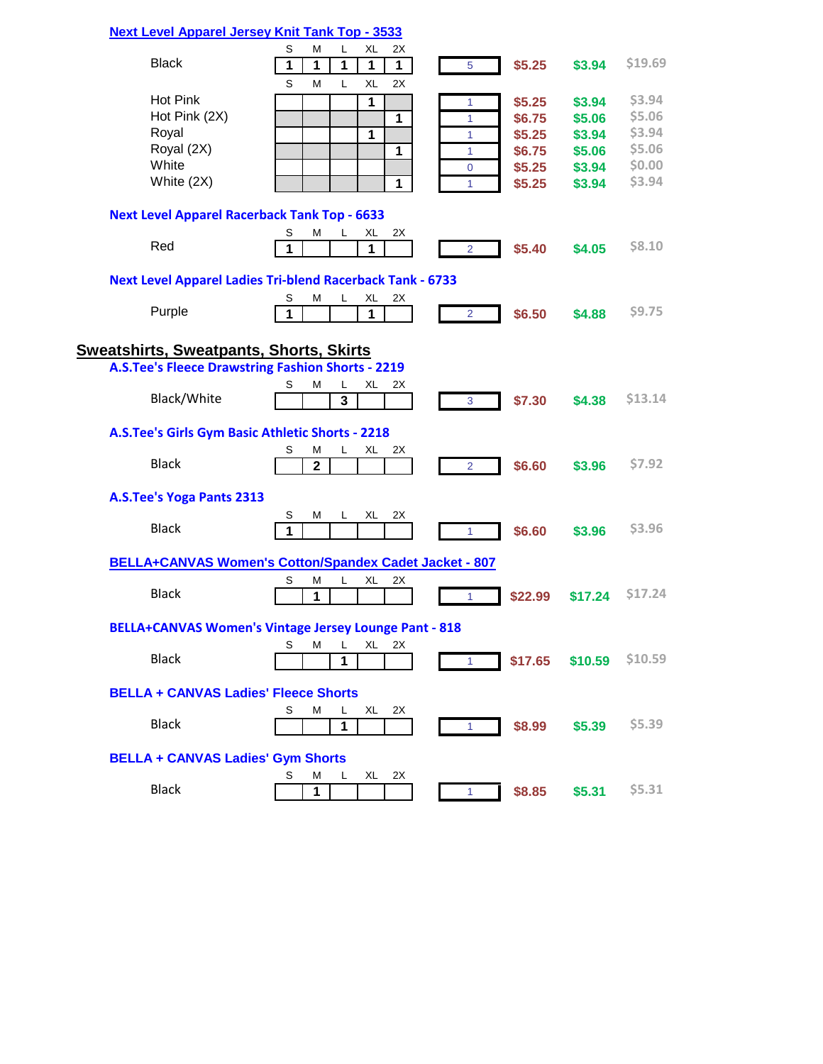### **[Next Level Apparel Jersey Knit Tank Top - 3533](http://www.nextlevelapparel.com/Prod-22-1-53-5/jersey-tank.htm)**

| <b>Black</b>                                        | S<br>2X<br>XL<br>М<br>L                                                                 |                          |         | \$19.69       |
|-----------------------------------------------------|-----------------------------------------------------------------------------------------|--------------------------|---------|---------------|
|                                                     | 1<br>1<br>1<br>1<br>1<br>S<br>М<br>L<br>XL<br>2X                                        | \$5.25<br>$\overline{5}$ | \$3.94  |               |
| Hot Pink                                            | 1                                                                                       | \$5.25<br>1              | \$3.94  | \$3.94        |
| Hot Pink (2X)                                       | 1                                                                                       | \$6.75<br>1              | \$5.06  | \$5.06        |
| Royal                                               |                                                                                         |                          |         | \$3.94        |
| Royal (2X)                                          | $\mathbf{1}$                                                                            | \$5.25<br>1              | \$3.94  | \$5.06        |
|                                                     | 1                                                                                       | \$6.75<br>1              | \$5.06  |               |
| White                                               |                                                                                         | \$5.25<br>$\mathbf 0$    | \$3.94  | \$0.00        |
| White (2X)                                          | 1                                                                                       | \$5.25<br>1              | \$3.94  | \$3.94        |
| <b>Next Level Apparel Racerback Tank Top - 6633</b> |                                                                                         |                          |         |               |
|                                                     | S<br>М<br>XL<br>2X<br>L.                                                                |                          |         |               |
| Red                                                 | 1<br>1                                                                                  | \$5.40<br>$\overline{2}$ | \$4.05  | \$8.10        |
|                                                     | <b>Next Level Apparel Ladies Tri-blend Racerback Tank - 6733</b>                        |                          |         |               |
|                                                     | S<br>М<br>L<br>XL<br>2X                                                                 |                          |         |               |
| Purple                                              | 1<br>1                                                                                  | \$6.50<br>$\overline{2}$ | \$4.88  | \$9.75        |
|                                                     |                                                                                         |                          |         |               |
| <u>Sweatshirts, Sweatpants, Shorts, Skirts</u>      |                                                                                         |                          |         |               |
|                                                     | <b>A.S.Tee's Fleece Drawstring Fashion Shorts - 2219</b>                                |                          |         |               |
|                                                     | М<br>L<br>XL<br>2X<br>S                                                                 |                          |         |               |
| Black/White                                         | 3                                                                                       | \$7.30<br>3              | \$4.38  | \$13.14       |
| A.S.Tee's Girls Gym Basic Athletic Shorts - 2218    |                                                                                         |                          |         |               |
|                                                     | S<br>L<br>XL<br>2X<br>М                                                                 |                          |         |               |
| <b>Black</b>                                        | $\overline{2}$                                                                          | \$6.60<br>$\overline{2}$ | \$3.96  | \$7.92        |
| A.S.Tee's Yoga Pants 2313                           |                                                                                         |                          |         |               |
|                                                     | S<br>М<br>XL<br>2X<br>L                                                                 |                          |         |               |
| <b>Black</b>                                        | 1                                                                                       | \$6.60<br>1              | \$3.96  | \$3.96        |
|                                                     | BELLA+CANVAS Women's Cotton/Spandex Cadet Jacket - 807                                  |                          |         |               |
|                                                     | S<br>М<br>L<br>XL<br>2X                                                                 |                          |         |               |
| <b>Black</b>                                        | 1                                                                                       | \$22.99<br>1             | \$17.24 | <b>S17.24</b> |
|                                                     |                                                                                         |                          |         |               |
|                                                     | <b>BELLA+CANVAS Women's Vintage Jersey Lounge Pant - 818</b><br>S<br>Μ<br>L<br>XL<br>2X |                          |         |               |
| <b>Black</b>                                        | 1                                                                                       | \$17.65<br>$\mathbf{1}$  | \$10.59 | \$10.59       |
|                                                     |                                                                                         |                          |         |               |
| <b>BELLA + CANVAS Ladies' Fleece Shorts</b>         |                                                                                         |                          |         |               |
|                                                     | S<br>М<br>L<br>XL<br>2X                                                                 |                          |         |               |
| <b>Black</b>                                        | 1                                                                                       | \$8.99<br>$\vert$ 1      | \$5.39  | \$5.39        |
| <b>BELLA + CANVAS Ladies' Gym Shorts</b>            |                                                                                         |                          |         |               |
|                                                     | S<br>XL<br>2X<br>М<br>L                                                                 |                          |         |               |
| <b>Black</b>                                        | 1                                                                                       | \$8.85<br>$\mathbf{1}$   | \$5.31  | \$5.31        |
|                                                     |                                                                                         |                          |         |               |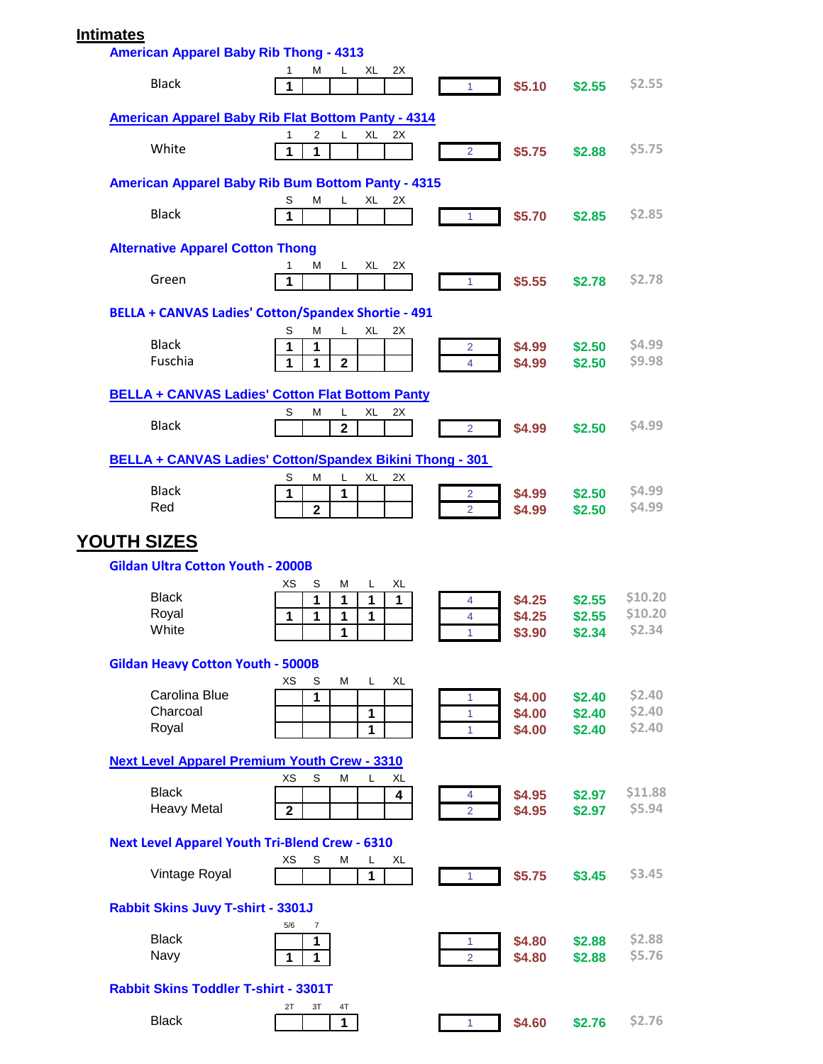# **Intimates**

| <b>American Apparel Baby Rib Thong - 4313</b>         |                                                                                     |                                         |                  |                  |
|-------------------------------------------------------|-------------------------------------------------------------------------------------|-----------------------------------------|------------------|------------------|
| <b>Black</b>                                          | XL<br>2X<br>м<br>L<br>1<br>1                                                        | \$5.10<br>$\blacktriangleleft$          | \$2.55           | \$2.55           |
|                                                       | <b>American Apparel Baby Rib Flat Bottom Panty - 4314</b>                           |                                         |                  |                  |
| White                                                 | $\overline{2}$<br>L<br>XL<br>2X<br>1<br>1<br>1                                      | \$5.75<br>$\overline{2}$                | \$2.88           | \$5.75           |
|                                                       | <b>American Apparel Baby Rib Bum Bottom Panty - 4315</b>                            |                                         |                  |                  |
| <b>Black</b>                                          | M<br>XL<br>S<br>L<br>2X<br>1                                                        | \$5.70<br>1                             | \$2.85           | \$2.85           |
| <b>Alternative Apparel Cotton Thong</b>               |                                                                                     |                                         |                  |                  |
| Green                                                 | 2X<br>L.<br>XL<br>M<br>1<br>1                                                       | \$5.55<br>1                             | \$2.78           | \$2.78           |
|                                                       | <b>BELLA + CANVAS Ladies' Cotton/Spandex Shortie - 491</b>                          |                                         |                  |                  |
| <b>Black</b><br>Fuschia                               | S<br>М<br>L.<br>XL<br>2X<br>1<br>1<br>1<br>$\mathbf{2}$<br>1                        | \$4.99<br>2<br>\$4.99<br>4              | \$2.50<br>\$2.50 | \$4.99<br>\$9.98 |
|                                                       | <b>BELLA + CANVAS Ladies' Cotton Flat Bottom Panty</b>                              |                                         |                  |                  |
|                                                       | S<br>М<br>L<br>XL<br>2X                                                             |                                         |                  |                  |
| <b>Black</b>                                          | $\mathbf{2}$                                                                        | \$4.99<br>$\overline{2}$                | \$2.50           | \$4.99           |
|                                                       | BELLA + CANVAS Ladies' Cotton/Spandex Bikini Thong - 301<br>S<br>М<br>L<br>XL<br>2X |                                         |                  |                  |
| <b>Black</b><br>Red                                   | 1<br>1<br>$\mathbf{2}$                                                              | \$4.99<br>2<br>\$4.99<br>$\overline{2}$ | \$2.50<br>\$2.50 | \$4.99<br>\$4.99 |
| <b>YOUTH SIZES</b>                                    |                                                                                     |                                         |                  |                  |
|                                                       |                                                                                     |                                         |                  |                  |
| <b>Gildan Ultra Cotton Youth - 2000B</b>              | XS<br>XL<br>S<br>М<br>L                                                             |                                         |                  |                  |
| <b>Black</b>                                          | 1<br>1<br>1<br>1                                                                    | \$4.25<br>4                             | \$2.55           | \$10.20          |
| Royal                                                 | 1<br>1<br>1<br>1                                                                    | \$4.25<br>$\overline{4}$                | \$2.55           | \$10.20          |
| White                                                 | 1                                                                                   | \$3.90<br>1                             | \$2.34           | \$2.34           |
| <b>Gildan Heavy Cotton Youth - 5000B</b>              |                                                                                     |                                         |                  |                  |
| Carolina Blue                                         | XS<br>S<br>м<br>XL<br>L.<br>1                                                       | \$4.00<br>1                             | \$2.40           | \$2.40           |
| Charcoal                                              | 1                                                                                   | \$4.00<br>1                             | \$2.40           | \$2.40           |
| Royal                                                 | 1                                                                                   | \$4.00<br>1                             | \$2.40           | \$2.40           |
| <b>Next Level Apparel Premium Youth Crew - 3310</b>   |                                                                                     |                                         |                  |                  |
| <b>Black</b>                                          | XS<br>S<br>М<br>L<br>XL                                                             |                                         |                  | \$11.88          |
| <b>Heavy Metal</b>                                    | 4<br>$\mathbf{2}$                                                                   | \$4.95<br>4<br>\$4.95<br>$\overline{2}$ | \$2.97<br>\$2.97 | \$5.94           |
| <b>Next Level Apparel Youth Tri-Blend Crew - 6310</b> |                                                                                     |                                         |                  |                  |
| Vintage Royal                                         | хs<br>S<br>М<br>XL<br>L<br>1                                                        | \$5.75<br>$\overline{1}$                | \$3.45           | \$3.45           |
| Rabbit Skins Juvy T-shirt - 3301J                     | 5/6<br>$\overline{7}$                                                               |                                         |                  |                  |
| <b>Black</b>                                          | 1                                                                                   | \$4.80<br>1                             | \$2.88           | \$2.88           |
| Navy                                                  | $\mathbf{1}$<br>$\mathbf{1}$                                                        | $\overline{2}$<br>\$4.80                | \$2.88           | \$5.76           |
| Rabbit Skins Toddler T-shirt - 3301T                  | 3Т<br>4T<br>2Τ                                                                      |                                         |                  |                  |
| <b>Black</b>                                          | $\mathbf{1}$                                                                        | \$4.60<br>$\mathbf{1}$                  | \$2.76           | \$2.76           |